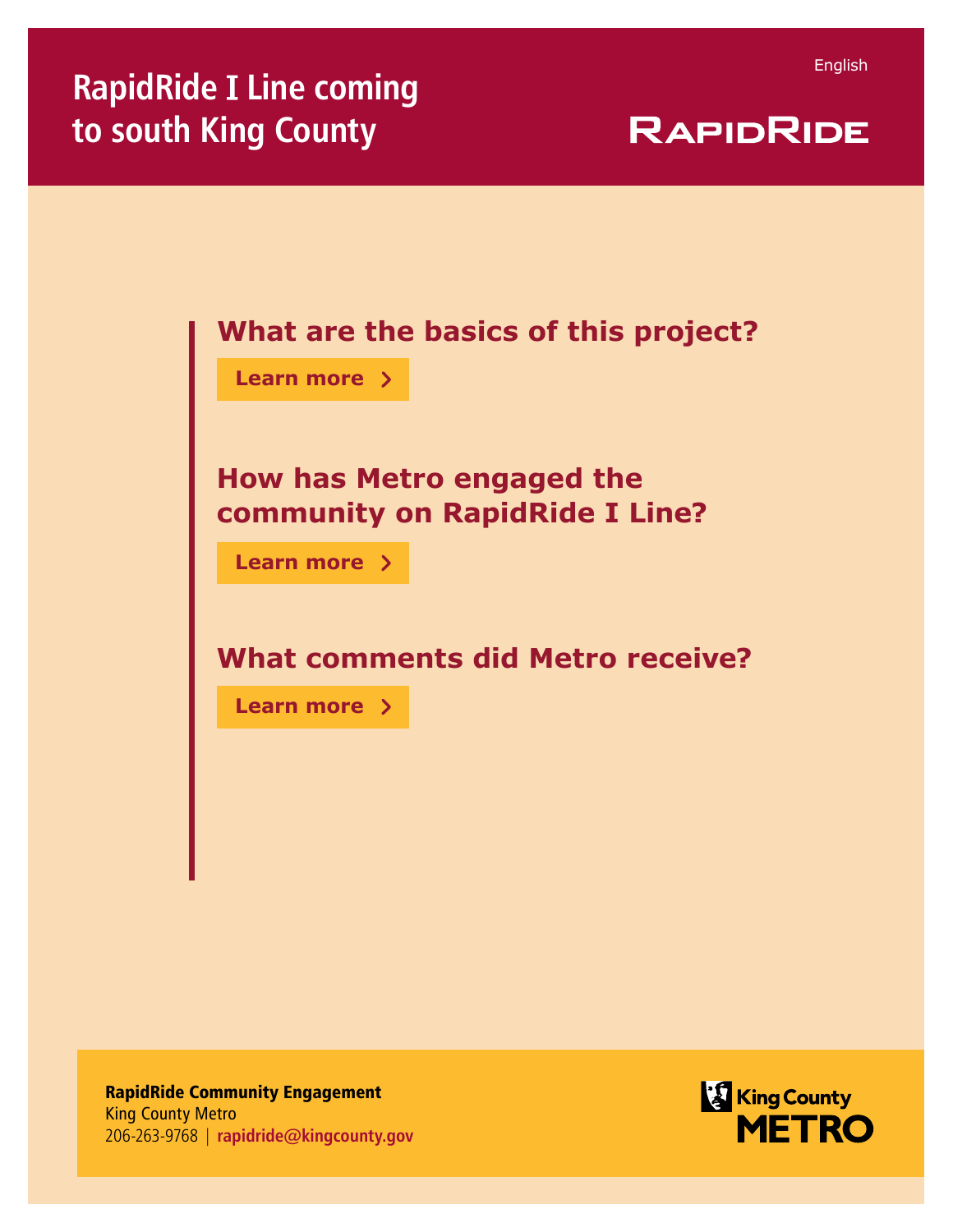| <b>RAPIDRIDE</b> |  |  |  |
|------------------|--|--|--|
|                  |  |  |  |

| What are the basics of this project?    |  |  |  |  |
|-----------------------------------------|--|--|--|--|
| Learn more >                            |  |  |  |  |
|                                         |  |  |  |  |
| <b>How has Metro engaged the</b>        |  |  |  |  |
| community on RapidRide I Line?          |  |  |  |  |
| <b>Learn more</b> $\rightarrow$         |  |  |  |  |
|                                         |  |  |  |  |
| <b>What comments did Metro receive?</b> |  |  |  |  |
| Learn more >                            |  |  |  |  |
|                                         |  |  |  |  |
|                                         |  |  |  |  |

RapidRide Community Engagement King County Metro 206-263-9768 | **rapidride@kingcounty.gov**

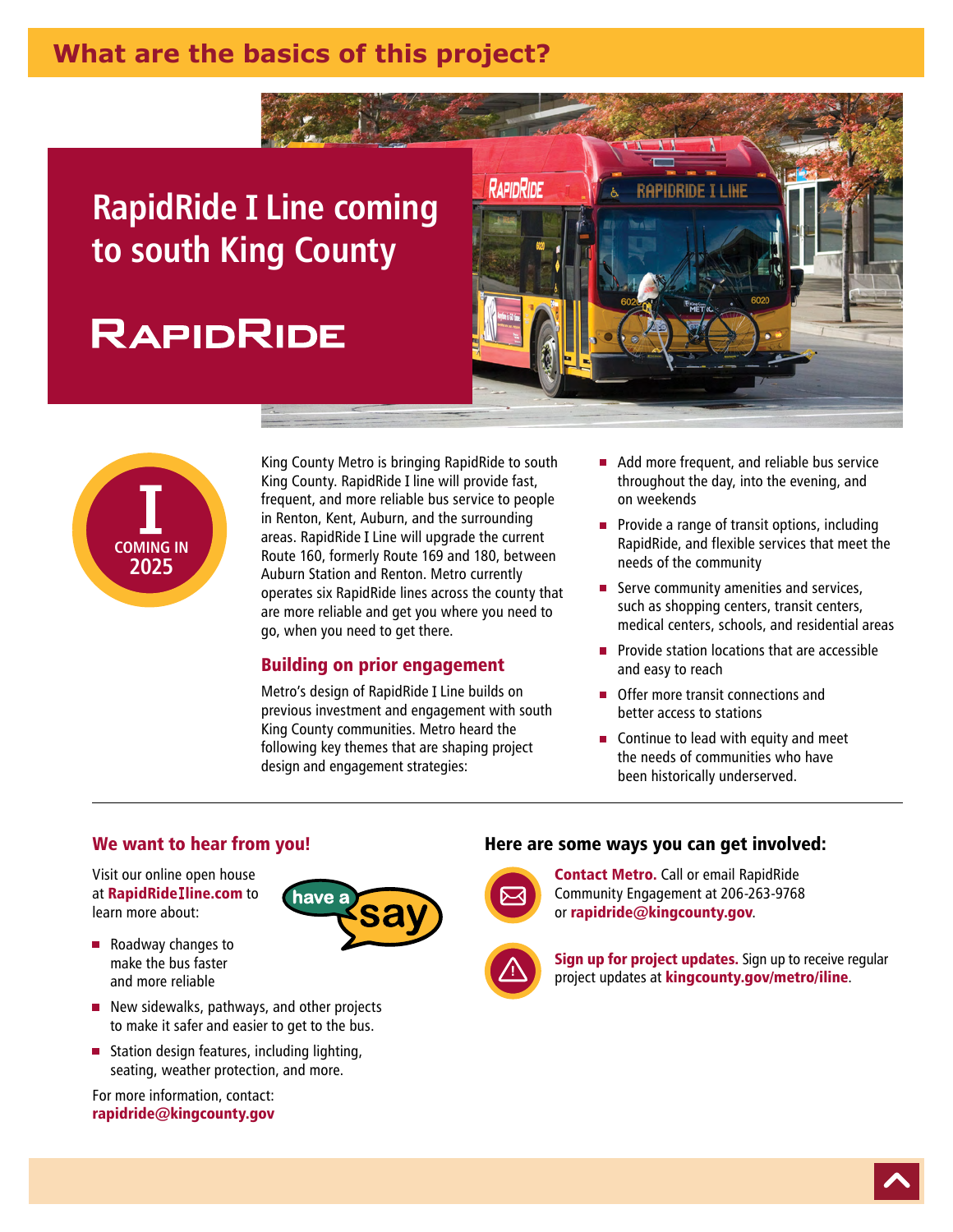# <span id="page-1-0"></span>**What are the basics of this project?**

# **RapidRide Line coming to south King County**

# **RAPIDRIDE**





King County Metro is bringing RapidRide to south King County. RapidRide I line will provide fast, frequent, and more reliable bus service to people in Renton, Kent, Auburn, and the surrounding areas. RapidRide Line will upgrade the current Route 160, formerly Route 169 and 180, between Auburn Station and Renton. Metro currently operates six RapidRide lines across the county that are more reliable and get you where you need to go, when you need to get there.

### Building on prior engagement

Metro's design of RapidRide Line builds on previous investment and engagement with south King County communities. Metro heard the following key themes that are shaping project design and engagement strategies:

- Add more frequent, and reliable bus service throughout the day, into the evening, and on weekends
- $\blacksquare$  Provide a range of transit options, including RapidRide, and flexible services that meet the needs of the community
- Serve community amenities and services, such as shopping centers, transit centers, medical centers, schools, and residential areas
- **Provide station locations that are accessible** and easy to reach
- **Offer more transit connections and** better access to stations
- Continue to lead with equity and meet the needs of communities who have been historically underserved.

#### We want to hear from you!

Visit our online open house at RapidRide line.com to learn more about:



- Roadway changes to make the bus faster and more reliable
- New sidewalks, pathways, and other projects to make it safer and easier to get to the bus.
- Station design features, including lighting,  $\blacksquare$ seating, weather protection, and more.

For more information, contact: rapidride@kingcounty.gov

#### Here are some ways you can get involved:



**Contact Metro.** Call or email RapidRide Community Engagement at 206-263-9768 or rapidride@kingcounty.gov.



Sign up for project updates. Sign up to receive regular project updates at **kingcounty.gov/metro/iline**.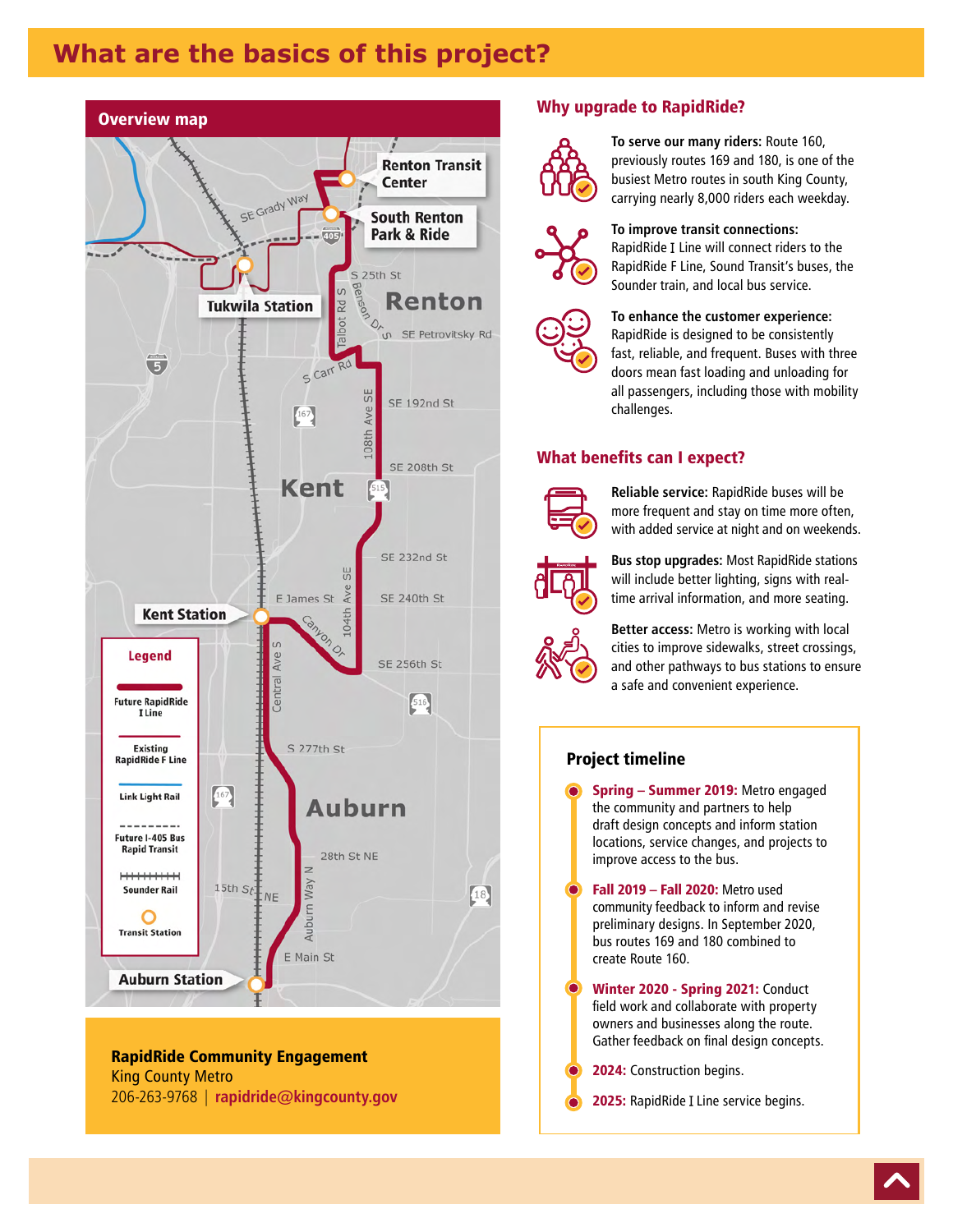# **What are the basics of this project?**



#### RapidRide Community Engagement King County Metro 206-263-9768 | **rapidride@kingcounty.gov**

#### Why upgrade to RapidRide?



**To serve our many riders:** Route 160, previously routes 169 and 180, is one of the busiest Metro routes in south King County, carrying nearly 8,000 riders each weekday.



#### **To improve transit connections:**

RapidRide Line will connect riders to the RapidRide F Line, Sound Transit's buses, the Sounder train, and local bus service.

#### **To enhance the customer experience:**  RapidRide is designed to be consistently

fast, reliable, and frequent. Buses with three doors mean fast loading and unloading for all passengers, including those with mobility challenges.

#### What benefits can I expect?



**Reliable service:** RapidRide buses will be more frequent and stay on time more often, with added service at night and on weekends.



**Bus stop upgrades:** Most RapidRide stations will include better lighting, signs with realtime arrival information, and more seating.



**Better access:** Metro is working with local cities to improve sidewalks, street crossings, and other pathways to bus stations to ensure a safe and convenient experience.

#### Project timeline

Spring – Summer 2019: Metro engaged the community and partners to help draft design concepts and inform station locations, service changes, and projects to improve access to the bus.

Fall 2019 – Fall 2020: Metro used community feedback to inform and revise preliminary designs. In September 2020, bus routes 169 and 180 combined to create Route 160.

Winter 2020 - Spring 2021: Conduct field work and collaborate with property owners and businesses along the route. Gather feedback on final design concepts.

2024: Construction begins.

2025: RapidRide I Line service begins.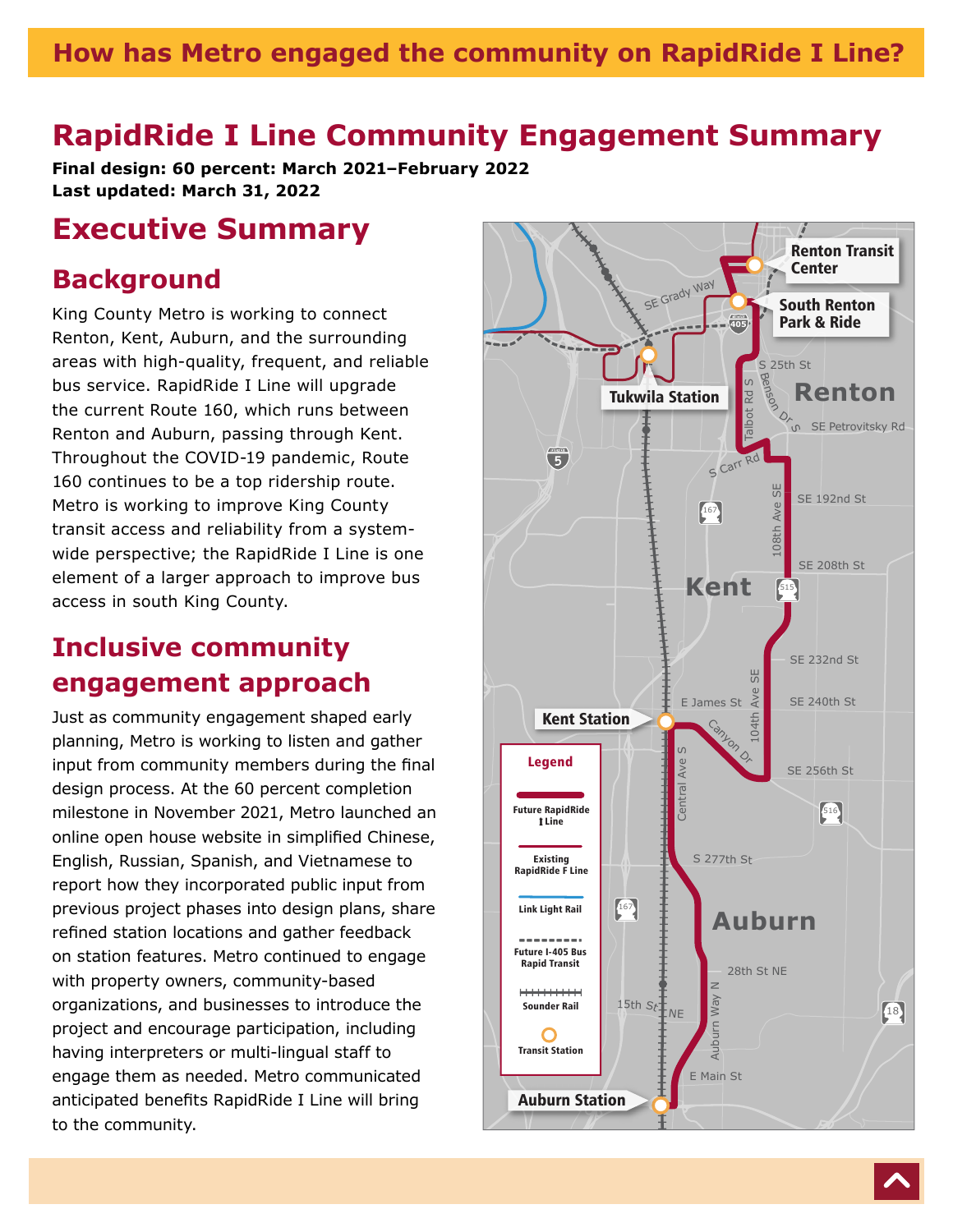#### <span id="page-3-0"></span>**How has Metro engaged the community on RapidRide I Line?** English

# **RapidRide I Line Community Engagement Summary**

**Final design: 60 percent: March 2021–February 2022 Last updated: March 31, 2022**

# **Executive Summary**

### **Background**

King County Metro is working to connect Renton, Kent, Auburn, and the surrounding areas with high-quality, frequent, and reliable bus service. RapidRide I Line will upgrade the current Route 160, which runs between Renton and Auburn, passing through Kent. Throughout the COVID-19 pandemic, Route 160 continues to be a top ridership route. Metro is working to improve King County transit access and reliability from a systemwide perspective; the RapidRide I Line is one element of a larger approach to improve bus access in south King County.

# **Inclusive community engagement approach**

Just as community engagement shaped early planning, Metro is working to listen and gather input from community members during the final design process. At the 60 percent completion milestone in November 2021, Metro launched an online open house website in simplified Chinese, English, Russian, Spanish, and Vietnamese to report how they incorporated public input from previous project phases into design plans, share refined station locations and gather feedback on station features. Metro continued to engage with property owners, community-based organizations, and businesses to introduce the project and encourage participation, including having interpreters or multi-lingual staff to engage them as needed. Metro communicated anticipated benefits RapidRide I Line will bring to the community.

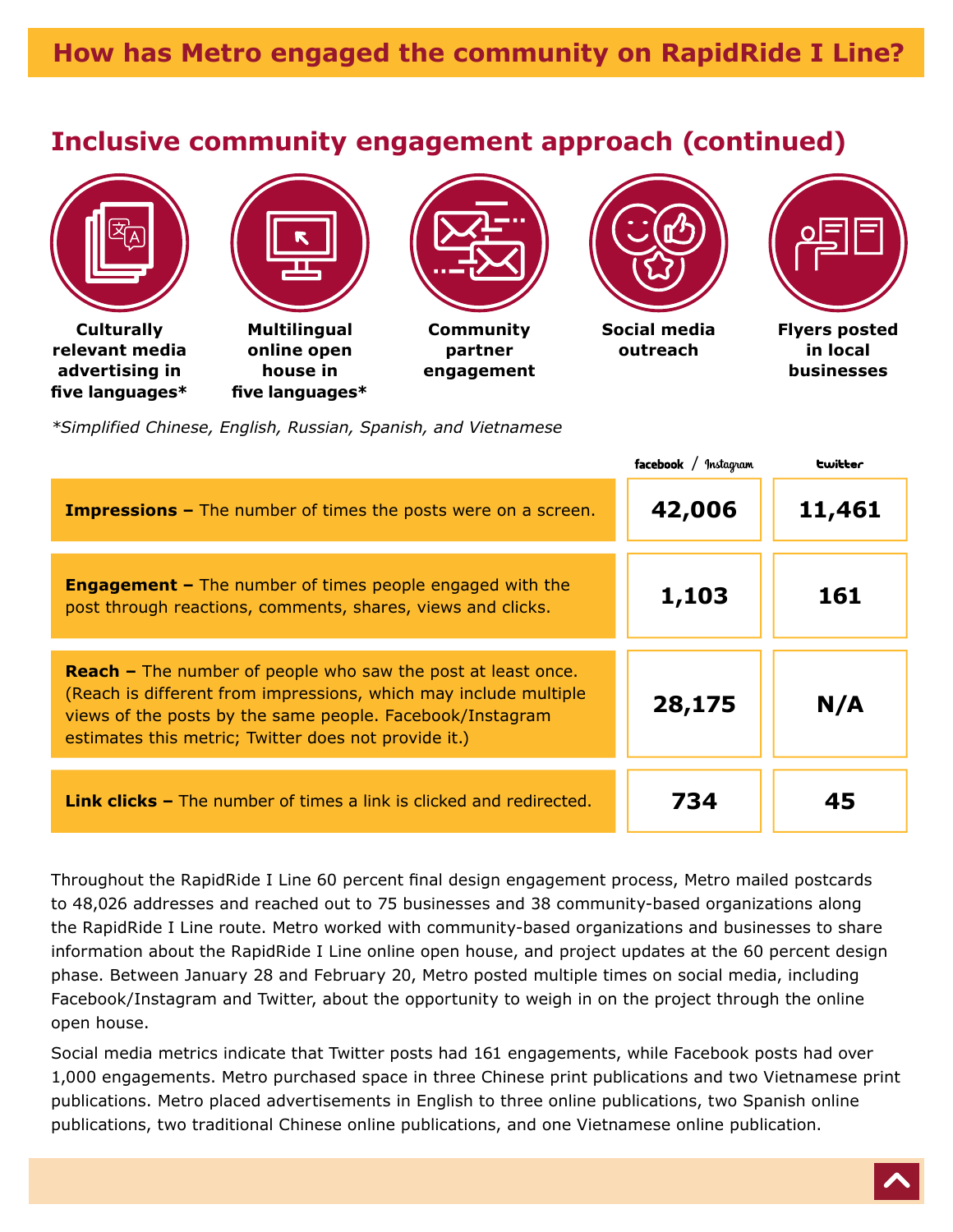# **Inclusive community engagement approach (continued)**



**Culturally relevant media advertising in five languages\***



**Multilingual online open house in five languages\***



**Community partner engagement**



**Social media outreach**



**Flyers posted in local businesses**

*\*Simplified Chinese, English, Russian, Spanish, and Vietnamese*

|                                                                                                                                                                                                                                                              | facebook / Instagram | <b>Lwitter</b> |
|--------------------------------------------------------------------------------------------------------------------------------------------------------------------------------------------------------------------------------------------------------------|----------------------|----------------|
| <b>Impressions -</b> The number of times the posts were on a screen.                                                                                                                                                                                         | 42,006               | 11,461         |
| <b>Engagement -</b> The number of times people engaged with the<br>post through reactions, comments, shares, views and clicks.                                                                                                                               | 1,103                | 161            |
| <b>Reach</b> – The number of people who saw the post at least once.<br>(Reach is different from impressions, which may include multiple<br>views of the posts by the same people. Facebook/Instagram<br>estimates this metric; Twitter does not provide it.) | 28,175               | N/A            |
| <b>Link clicks –</b> The number of times a link is clicked and redirected.                                                                                                                                                                                   | 734                  | 45             |

Throughout the RapidRide I Line 60 percent final design engagement process, Metro mailed postcards to 48,026 addresses and reached out to 75 businesses and 38 community-based organizations along the RapidRide I Line route. Metro worked with community-based organizations and businesses to share information about the RapidRide I Line online open house, and project updates at the 60 percent design phase. Between January 28 and February 20, Metro posted multiple times on social media, including Facebook/Instagram and Twitter, about the opportunity to weigh in on the project through the online open house.

Social media metrics indicate that Twitter posts had 161 engagements, while Facebook posts had over 1,000 engagements. Metro purchased space in three Chinese print publications and two Vietnamese print publications. Metro placed advertisements in English to three online publications, two Spanish online publications, two traditional Chinese online publications, and one Vietnamese online publication.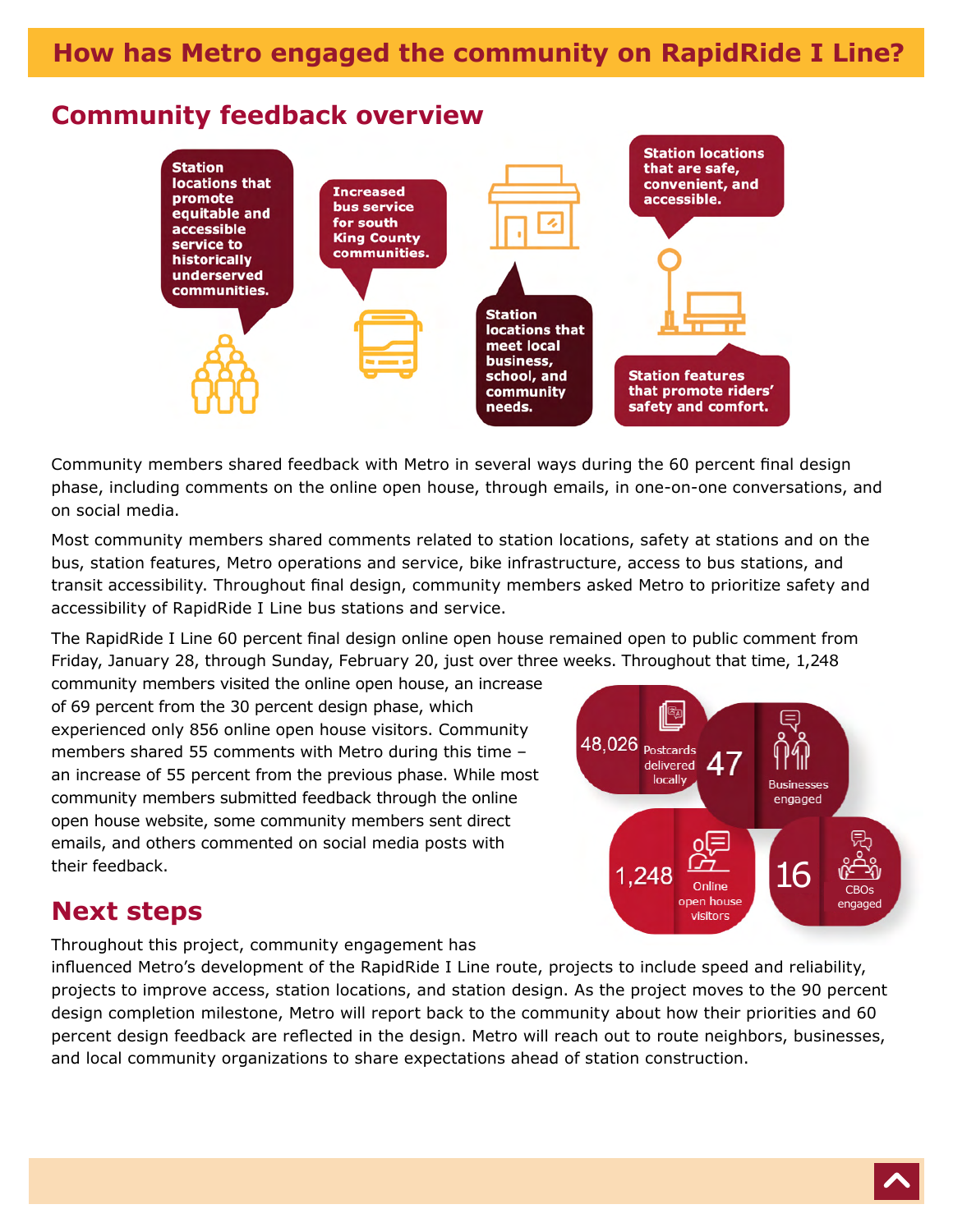### **Community feedback overview**



Community members shared feedback with Metro in several ways during the 60 percent final design phase, including comments on the online open house, through emails, in one-on-one conversations, and on social media.

Most community members shared comments related to station locations, safety at stations and on the bus, station features, Metro operations and service, bike infrastructure, access to bus stations, and transit accessibility. Throughout final design, community members asked Metro to prioritize safety and accessibility of RapidRide I Line bus stations and service.

The RapidRide I Line 60 percent final design online open house remained open to public comment from Friday, January 28, through Sunday, February 20, just over three weeks. Throughout that time, 1,248

community members visited the online open house, an increase of 69 percent from the 30 percent design phase, which experienced only 856 online open house visitors. Community members shared 55 comments with Metro during this time – an increase of 55 percent from the previous phase. While most community members submitted feedback through the online open house website, some community members sent direct emails, and others commented on social media posts with their feedback.



# **Next steps**

Throughout this project, community engagement has

influenced Metro's development of the RapidRide I Line route, projects to include speed and reliability, projects to improve access, station locations, and station design. As the project moves to the 90 percent design completion milestone, Metro will report back to the community about how their priorities and 60 percent design feedback are reflected in the design. Metro will reach out to route neighbors, businesses, and local community organizations to share expectations ahead of station construction.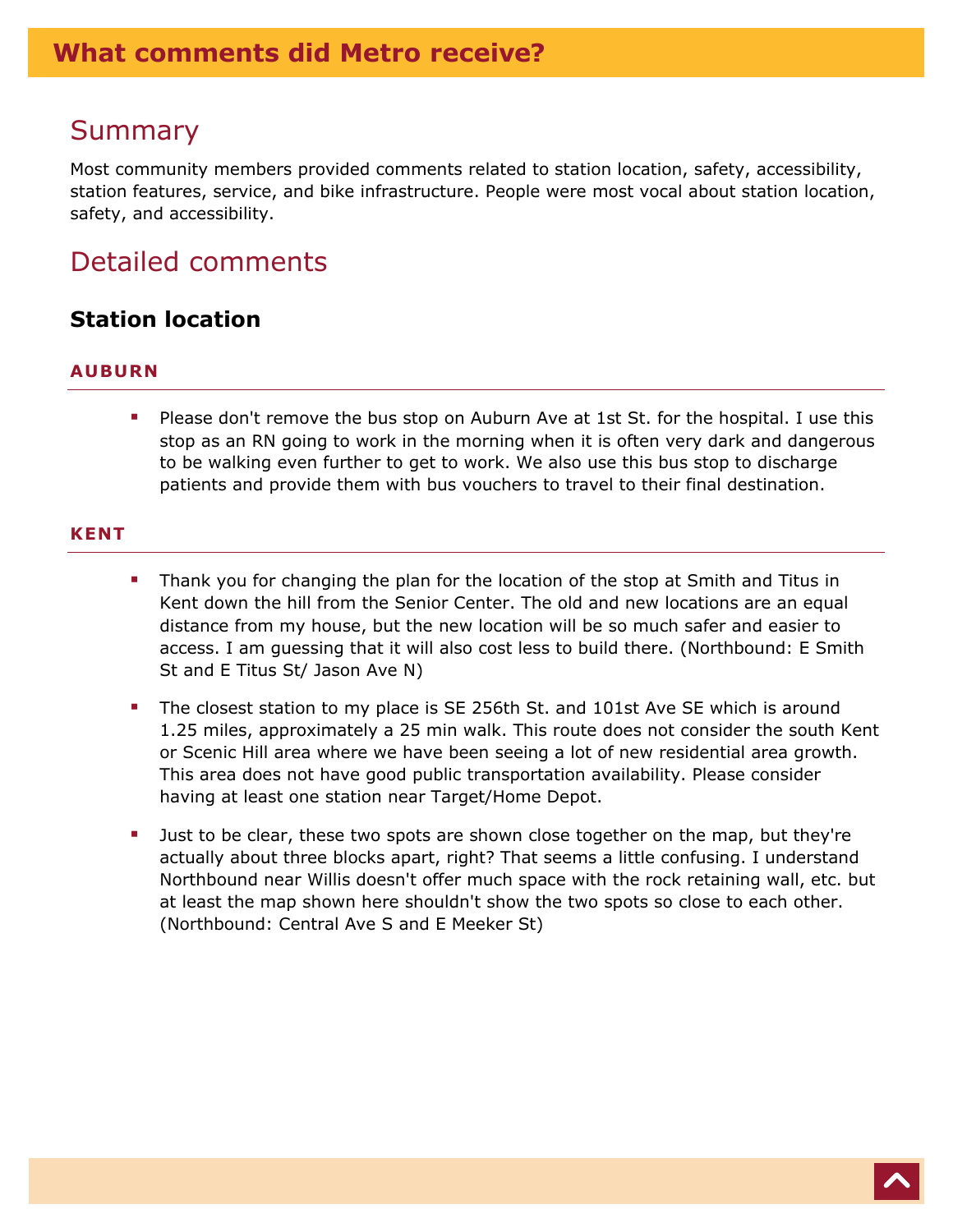### <span id="page-6-0"></span>Summary

Most community members provided comments related to station location, safety, accessibility, station features, service, and bike infrastructure. People were most vocal about station location, safety, and accessibility.

# Detailed comments

### **Station location**

#### **AUBURN**

**Please don't remove the bus stop on Auburn Ave at 1st St. for the hospital. I use this** stop as an RN going to work in the morning when it is often very dark and dangerous to be walking even further to get to work. We also use this bus stop to discharge patients and provide them with bus vouchers to travel to their final destination.

#### **KENT**

- **Thank you for changing the plan for the location of the stop at Smith and Titus in** Kent down the hill from the Senior Center. The old and new locations are an equal distance from my house, but the new location will be so much safer and easier to access. I am guessing that it will also cost less to build there. (Northbound: E Smith St and E Titus St/ Jason Ave N)
- The closest station to my place is SE 256th St. and 101st Ave SE which is around 1.25 miles, approximately a 25 min walk. This route does not consider the south Kent or Scenic Hill area where we have been seeing a lot of new residential area growth. This area does not have good public transportation availability. Please consider having at least one station near Target/Home Depot.
- **Just to be clear, these two spots are shown close together on the map, but they're** actually about three blocks apart, right? That seems a little confusing. I understand Northbound near Willis doesn't offer much space with the rock retaining wall, etc. but at least the map shown here shouldn't show the two spots so close to each other. (Northbound: Central Ave S and E Meeker St)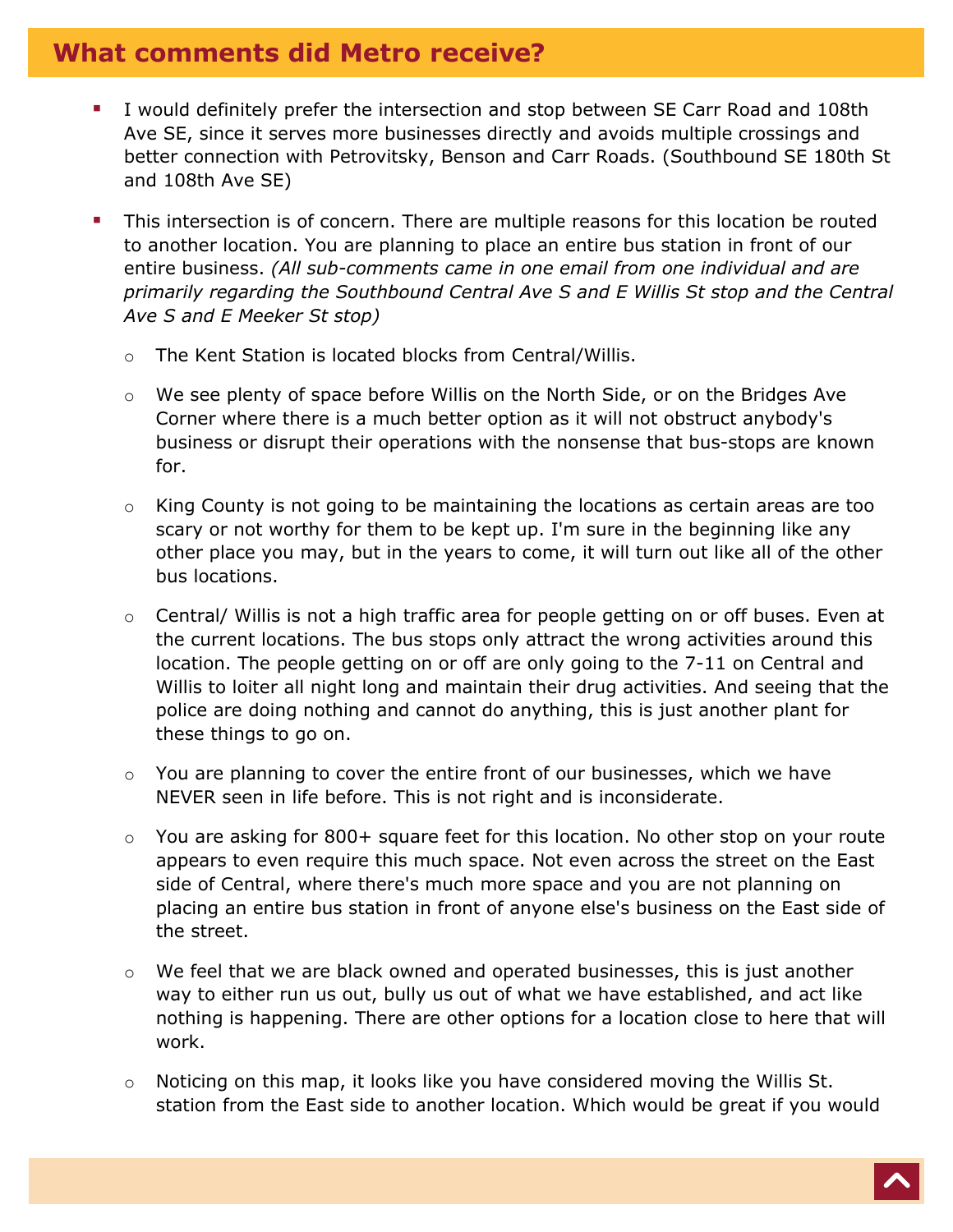- I would definitely prefer the intersection and stop between SE Carr Road and 108th Ave SE, since it serves more businesses directly and avoids multiple crossings and better connection with Petrovitsky, Benson and Carr Roads. (Southbound SE 180th St and 108th Ave SE)
- **This intersection is of concern. There are multiple reasons for this location be routed** to another location. You are planning to place an entire bus station in front of our entire business. *(All sub-comments came in one email from one individual and are primarily regarding the Southbound Central Ave S and E Willis St stop and the Central Ave S and E Meeker St stop)*
	- o The Kent Station is located blocks from Central/Willis.
	- $\circ$  We see plenty of space before Willis on the North Side, or on the Bridges Ave Corner where there is a much better option as it will not obstruct anybody's business or disrupt their operations with the nonsense that bus-stops are known for.
	- $\circ$  King County is not going to be maintaining the locations as certain areas are too scary or not worthy for them to be kept up. I'm sure in the beginning like any other place you may, but in the years to come, it will turn out like all of the other bus locations.
	- o Central/ Willis is not a high traffic area for people getting on or off buses. Even at the current locations. The bus stops only attract the wrong activities around this location. The people getting on or off are only going to the 7-11 on Central and Willis to loiter all night long and maintain their drug activities. And seeing that the police are doing nothing and cannot do anything, this is just another plant for these things to go on.
	- $\circ$  You are planning to cover the entire front of our businesses, which we have NEVER seen in life before. This is not right and is inconsiderate.
	- $\circ$  You are asking for 800+ square feet for this location. No other stop on your route appears to even require this much space. Not even across the street on the East side of Central, where there's much more space and you are not planning on placing an entire bus station in front of anyone else's business on the East side of the street.
	- $\circ$  We feel that we are black owned and operated businesses, this is just another way to either run us out, bully us out of what we have established, and act like nothing is happening. There are other options for a location close to here that will work.
	- $\circ$  Noticing on this map, it looks like you have considered moving the Willis St. station from the East side to another location. Which would be great if you would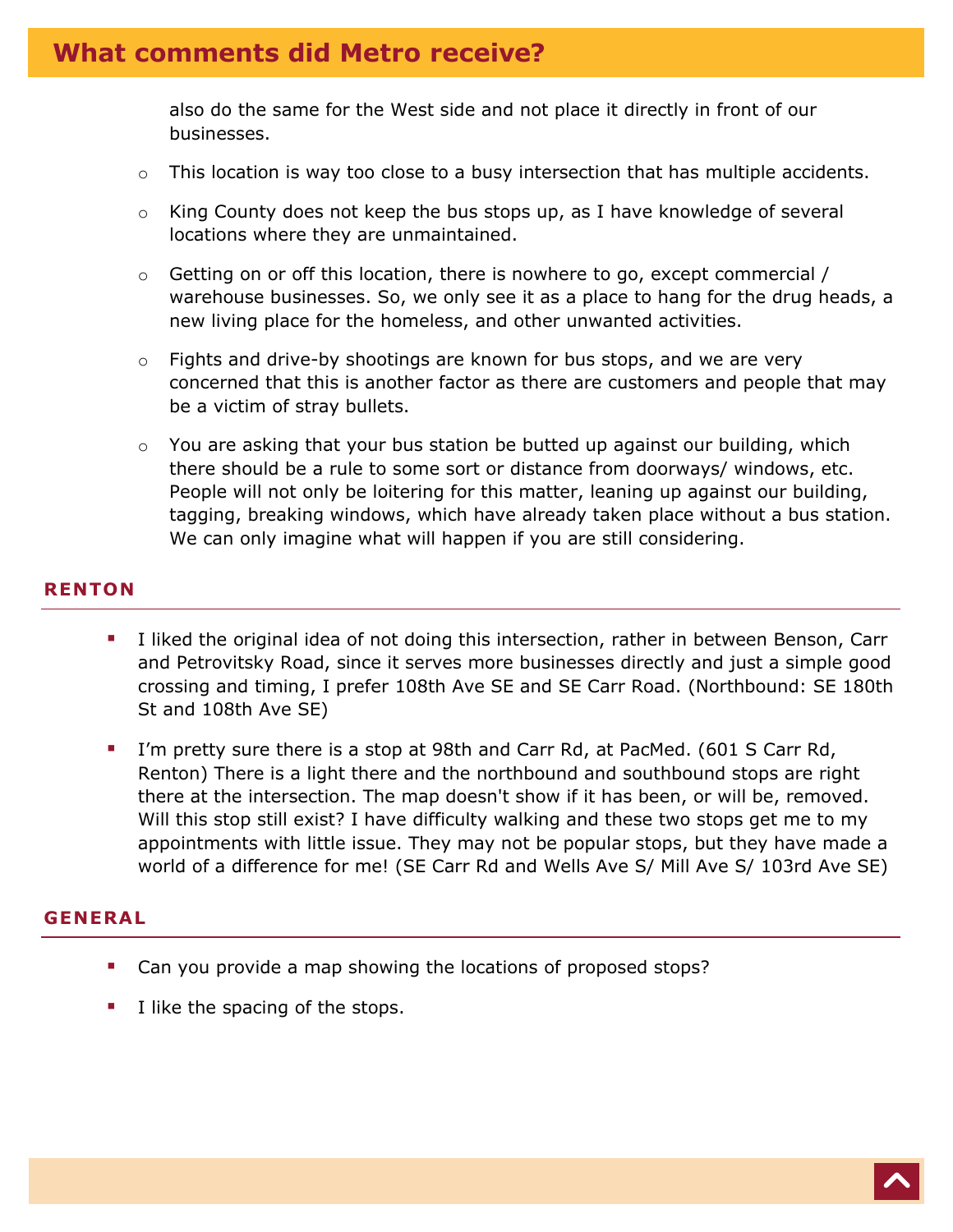also do the same for the West side and not place it directly in front of our businesses.

- $\circ$  This location is way too close to a busy intersection that has multiple accidents.
- o King County does not keep the bus stops up, as I have knowledge of several locations where they are unmaintained.
- o Getting on or off this location, there is nowhere to go, except commercial / warehouse businesses. So, we only see it as a place to hang for the drug heads, a new living place for the homeless, and other unwanted activities.
- $\circ$  Fights and drive-by shootings are known for bus stops, and we are very concerned that this is another factor as there are customers and people that may be a victim of stray bullets.
- You are asking that your bus station be butted up against our building, which there should be a rule to some sort or distance from doorways/ windows, etc. People will not only be loitering for this matter, leaning up against our building, tagging, breaking windows, which have already taken place without a bus station. We can only imagine what will happen if you are still considering.

#### **RENTON**

- I liked the original idea of not doing this intersection, rather in between Benson, Carr and Petrovitsky Road, since it serves more businesses directly and just a simple good crossing and timing, I prefer 108th Ave SE and SE Carr Road. (Northbound: SE 180th St and 108th Ave SE)
- I'm pretty sure there is a stop at 98th and Carr Rd, at PacMed. (601 S Carr Rd, Renton) There is a light there and the northbound and southbound stops are right there at the intersection. The map doesn't show if it has been, or will be, removed. Will this stop still exist? I have difficulty walking and these two stops get me to my appointments with little issue. They may not be popular stops, but they have made a world of a difference for me! (SE Carr Rd and Wells Ave S/ Mill Ave S/ 103rd Ave SE)

#### **GENERAL**

- Can you provide a map showing the locations of proposed stops?
- I like the spacing of the stops.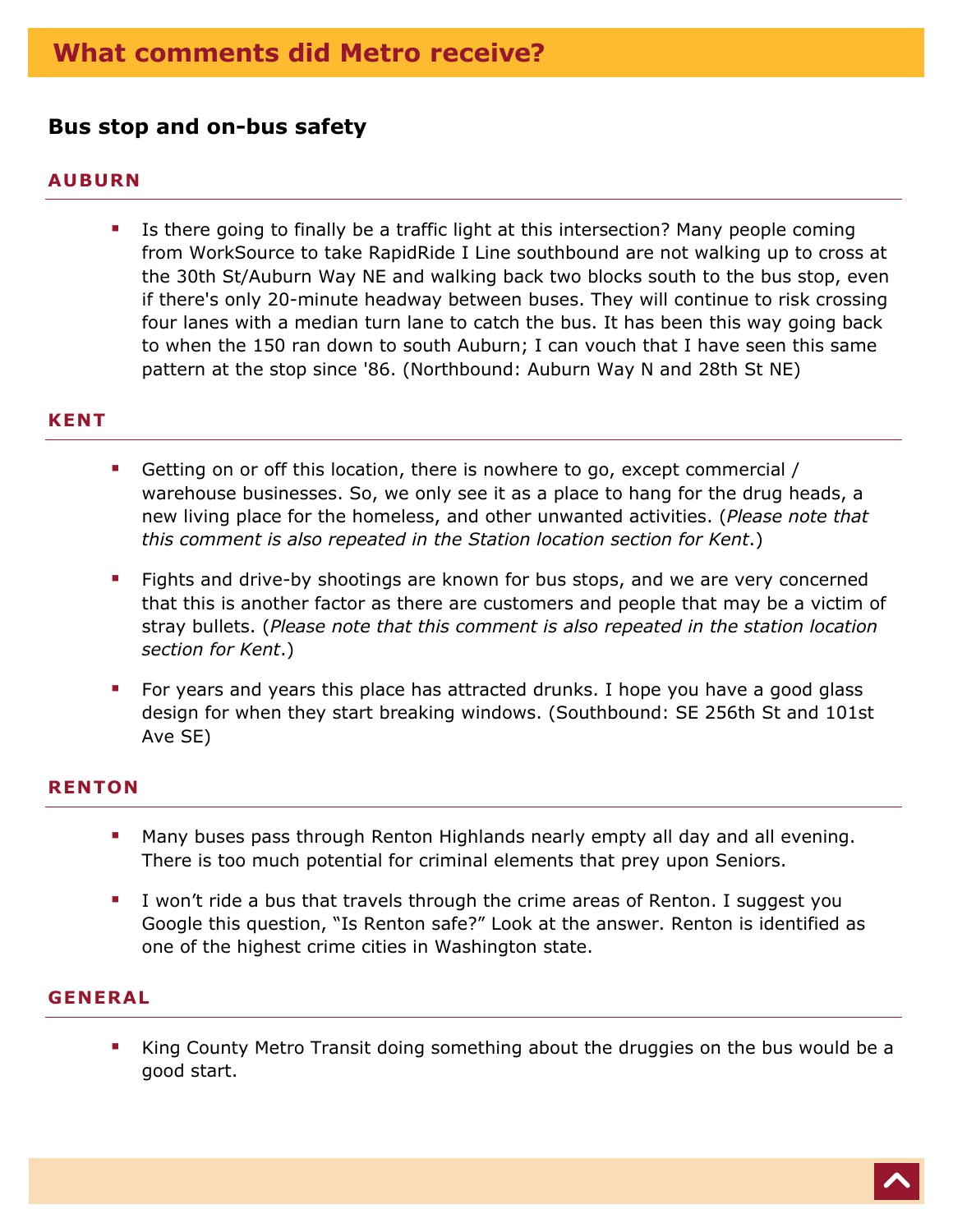### **Bus stop and on-bus safety**

#### **AUBURN**

**Safety**

**IF** Is there going to finally be a traffic light at this intersection? Many people coming from WorkSource to take RapidRide I Line southbound are not walking up to cross at the 30th St/Auburn Way NE and walking back two blocks south to the bus stop, even if there's only 20-minute headway between buses. They will continue to risk crossing four lanes with a median turn lane to catch the bus. It has been this way going back to when the 150 ran down to south Auburn; I can vouch that I have seen this same pattern at the stop since '86. (Northbound: Auburn Way N and 28th St NE)

#### **KENT**

- Getting on or off this location, there is nowhere to go, except commercial / warehouse businesses. So, we only see it as a place to hang for the drug heads, a new living place for the homeless, and other unwanted activities. (*Please note that this comment is also repeated in the Station location section for Kent*.)
- **Fights and drive-by shootings are known for bus stops, and we are very concerned** that this is another factor as there are customers and people that may be a victim of stray bullets. (*Please note that this comment is also repeated in the station location section for Kent*.)
- For years and years this place has attracted drunks. I hope you have a good glass design for when they start breaking windows. (Southbound: SE 256th St and 101st Ave SE)

#### **RENTON**

- **Many buses pass through Renton Highlands nearly empty all day and all evening.** There is too much potential for criminal elements that prey upon Seniors.
- I won't ride a bus that travels through the crime areas of Renton. I suggest you Google this question, "Is Renton safe?" Look at the answer. Renton is identified as one of the highest crime cities in Washington state.

#### **GENERAL**

King County Metro Transit doing something about the druggies on the bus would be a good start.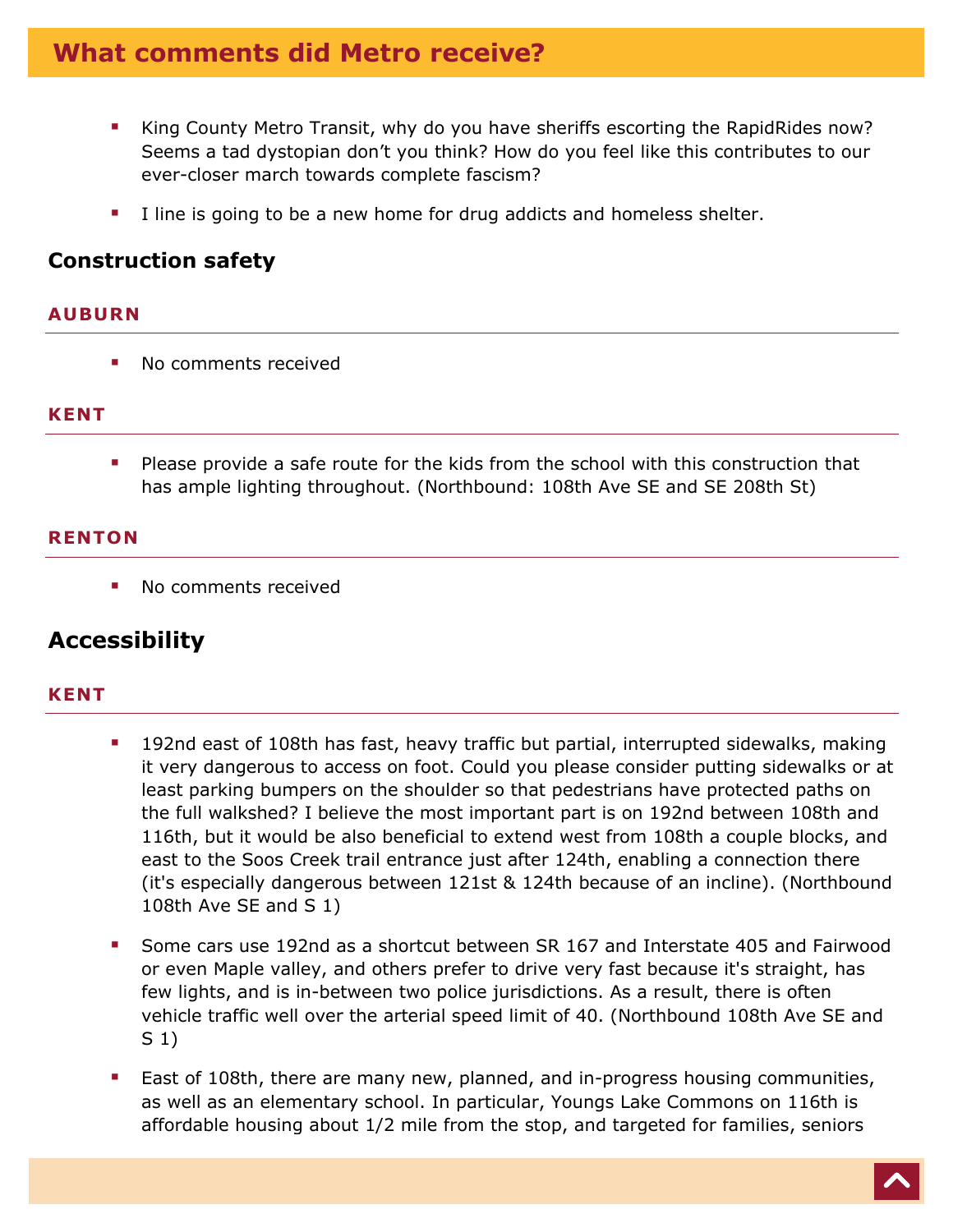- King County Metro Transit, why do you have sheriffs escorting the RapidRides now? Seems a tad dystopian don't you think? How do you feel like this contributes to our ever-closer march towards complete fascism?
- I line is going to be a new home for drug addicts and homeless shelter.

### **Construction safety**

#### **AUBURN**

No comments received

#### **KENT**

**Please provide a safe route for the kids from the school with this construction that** has ample lighting throughout. (Northbound: 108th Ave SE and SE 208th St)

#### **RENTON**

**No comments received** 

### **Accessibility**

#### **KENT**

- **192nd east of 108th has fast, heavy traffic but partial, interrupted sidewalks, making** it very dangerous to access on foot. Could you please consider putting sidewalks or at least parking bumpers on the shoulder so that pedestrians have protected paths on the full walkshed? I believe the most important part is on 192nd between 108th and 116th, but it would be also beneficial to extend west from 108th a couple blocks, and east to the Soos Creek trail entrance just after 124th, enabling a connection there (it's especially dangerous between 121st & 124th because of an incline). (Northbound 108th Ave SE and S 1)
- Some cars use 192nd as a shortcut between SR 167 and Interstate 405 and Fairwood or even Maple valley, and others prefer to drive very fast because it's straight, has few lights, and is in-between two police jurisdictions. As a result, there is often vehicle traffic well over the arterial speed limit of 40. (Northbound 108th Ave SE and S 1)
- **East of 108th, there are many new, planned, and in-progress housing communities,** as well as an elementary school. In particular, Youngs Lake Commons on 116th is affordable housing about 1/2 mile from the stop, and targeted for families, seniors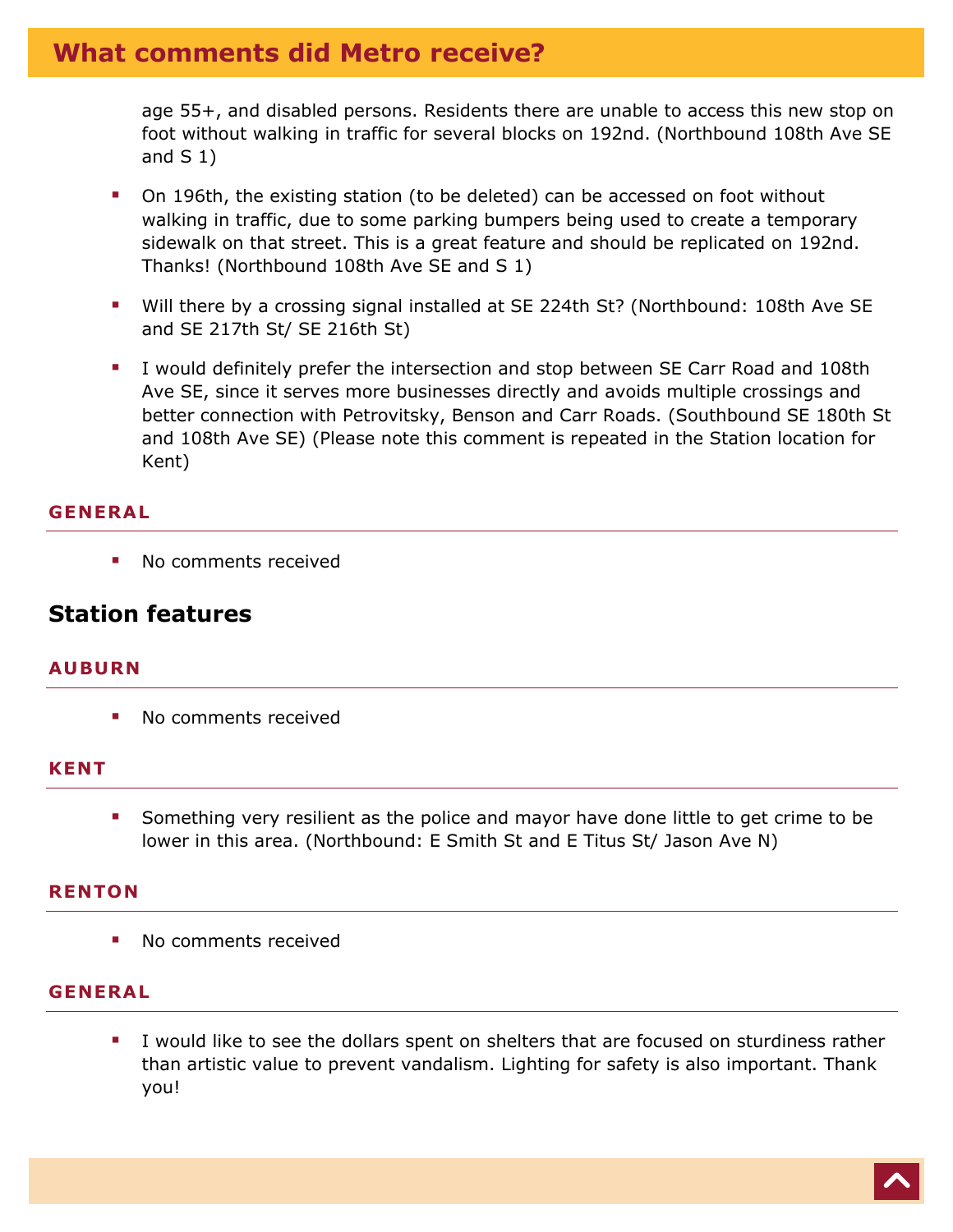age 55+, and disabled persons. Residents there are unable to access this new stop on foot without walking in traffic for several blocks on 192nd. (Northbound 108th Ave SE and  $S(1)$ 

- On 196th, the existing station (to be deleted) can be accessed on foot without walking in traffic, due to some parking bumpers being used to create a temporary sidewalk on that street. This is a great feature and should be replicated on 192nd. Thanks! (Northbound 108th Ave SE and S 1)
- Will there by a crossing signal installed at SE 224th St? (Northbound: 108th Ave SE and SE 217th St/ SE 216th St)
- I would definitely prefer the intersection and stop between SE Carr Road and 108th Ave SE, since it serves more businesses directly and avoids multiple crossings and better connection with Petrovitsky, Benson and Carr Roads. (Southbound SE 180th St and 108th Ave SE) (Please note this comment is repeated in the Station location for Kent)

#### **GENERAL**

No comments received

### **Station features**

#### **AUBURN**

• No comments received

#### **KENT**

 Something very resilient as the police and mayor have done little to get crime to be lower in this area. (Northbound: E Smith St and E Titus St/ Jason Ave N)

#### **RENTON**

• No comments received

#### **GENERAL**

 I would like to see the dollars spent on shelters that are focused on sturdiness rather than artistic value to prevent vandalism. Lighting for safety is also important. Thank you!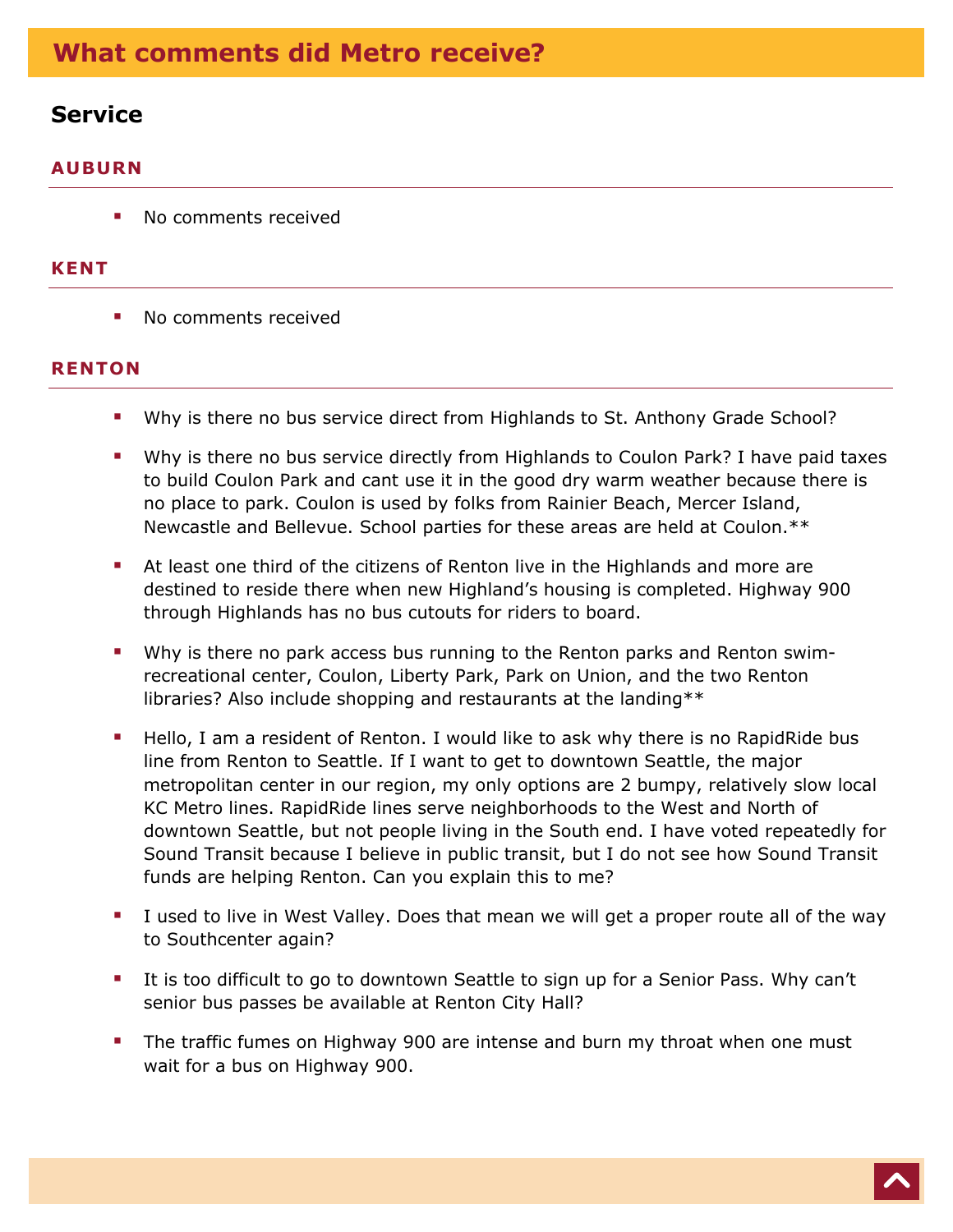### **Service**

#### **AUBURN**

■ No comments received

#### **KENT**

• No comments received

#### **RENTON**

- Why is there no bus service direct from Highlands to St. Anthony Grade School?
- Why is there no bus service directly from Highlands to Coulon Park? I have paid taxes to build Coulon Park and cant use it in the good dry warm weather because there is no place to park. Coulon is used by folks from Rainier Beach, Mercer Island, Newcastle and Bellevue. School parties for these areas are held at Coulon.\*\*
- At least one third of the citizens of Renton live in the Highlands and more are destined to reside there when new Highland's housing is completed. Highway 900 through Highlands has no bus cutouts for riders to board.
- Why is there no park access bus running to the Renton parks and Renton swimrecreational center, Coulon, Liberty Park, Park on Union, and the two Renton libraries? Also include shopping and restaurants at the landing\*\*
- Hello, I am a resident of Renton. I would like to ask why there is no RapidRide bus line from Renton to Seattle. If I want to get to downtown Seattle, the major metropolitan center in our region, my only options are 2 bumpy, relatively slow local KC Metro lines. RapidRide lines serve neighborhoods to the West and North of downtown Seattle, but not people living in the South end. I have voted repeatedly for Sound Transit because I believe in public transit, but I do not see how Sound Transit funds are helping Renton. Can you explain this to me?
- I used to live in West Valley. Does that mean we will get a proper route all of the way to Southcenter again?
- It is too difficult to go to downtown Seattle to sign up for a Senior Pass. Why can't senior bus passes be available at Renton City Hall?
- The traffic fumes on Highway 900 are intense and burn my throat when one must wait for a bus on Highway 900.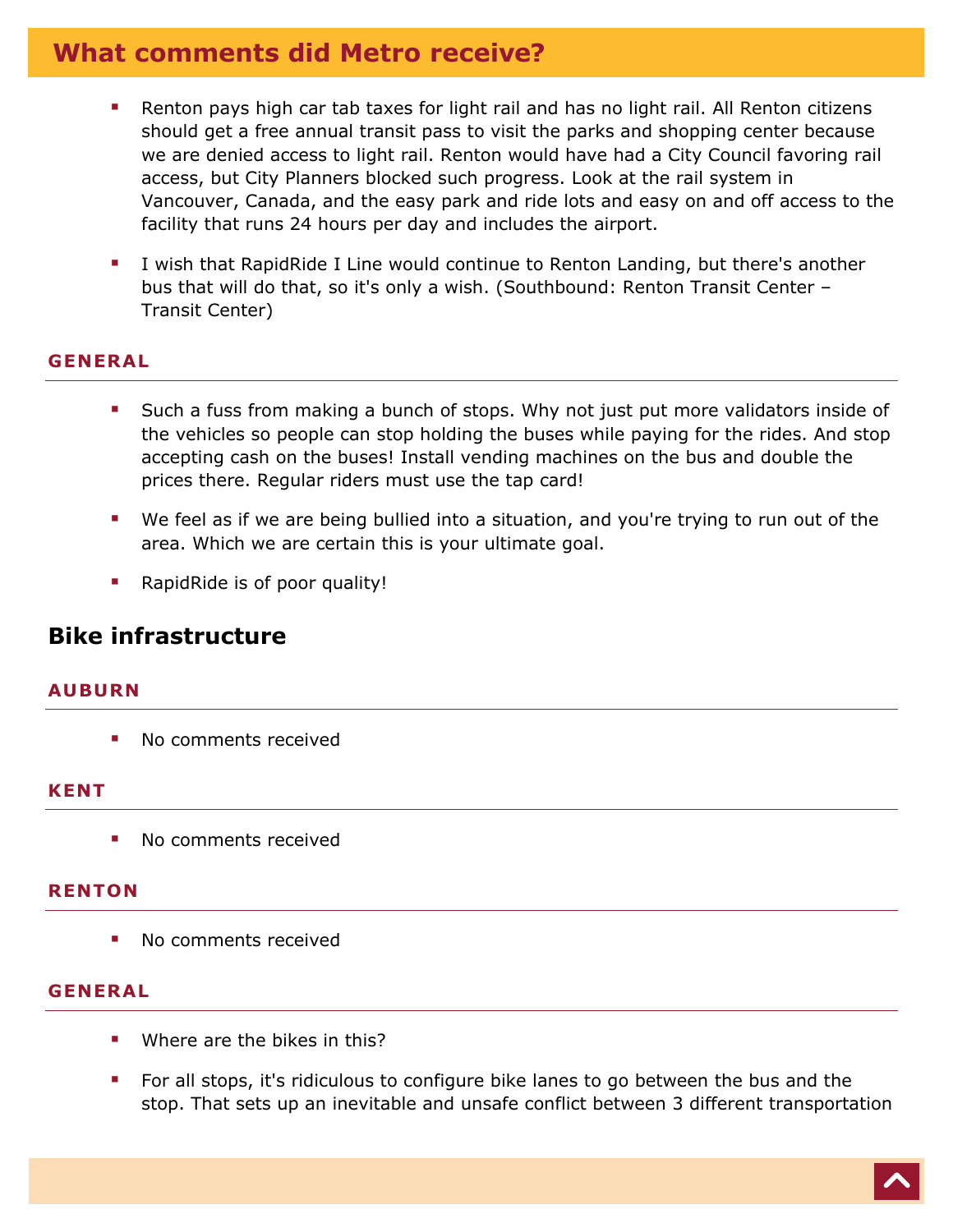- Renton pays high car tab taxes for light rail and has no light rail. All Renton citizens should get a free annual transit pass to visit the parks and shopping center because we are denied access to light rail. Renton would have had a City Council favoring rail access, but City Planners blocked such progress. Look at the rail system in Vancouver, Canada, and the easy park and ride lots and easy on and off access to the facility that runs 24 hours per day and includes the airport.
- I wish that RapidRide I Line would continue to Renton Landing, but there's another bus that will do that, so it's only a wish. (Southbound: Renton Transit Center – Transit Center)

#### **GENERAL**

- Such a fuss from making a bunch of stops. Why not just put more validators inside of the vehicles so people can stop holding the buses while paying for the rides. And stop accepting cash on the buses! Install vending machines on the bus and double the prices there. Regular riders must use the tap card!
- We feel as if we are being bullied into a situation, and you're trying to run out of the area. Which we are certain this is your ultimate goal.
- **RapidRide is of poor quality!**

### **Bike infrastructure**

#### **AUBURN**

**No comments received** 

#### **KENT**

• No comments received

#### **RENTON**

• No comments received

#### **GENERAL**

- Where are the bikes in this?
- **For all stops, it's ridiculous to configure bike lanes to go between the bus and the** stop. That sets up an inevitable and unsafe conflict between 3 different transportation